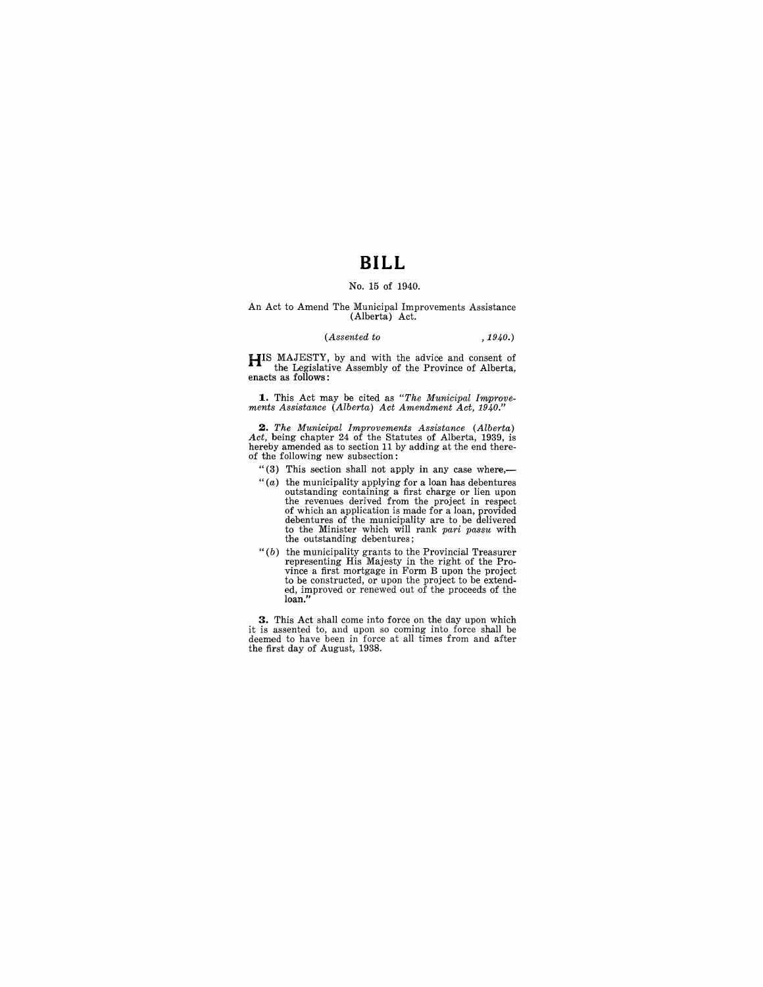### **BILL**

#### No. 15 of 1940.

# An Act to Amend The Municipal Improvements Assistance (Alberta) Act.

#### *(Assented to ,1940.)*

**HIS** MAJESTY, by and with the advice and consent of the Legislative Assembly of the Province of Alberta, enacts as follows:

**1..** This Act may be cited as *"The Municipal Iwprove-ments Assistance (Alberta) Act Amendment Act, 1940."* 

*2. The Municipal Improvements Assistance (Alberta) Act,* being chapter 24 of the Statutes of Alberta, 1939, is hereby amended as to section 11 by adding at the end thereof the following new subsection:

"(3) This section shall not apply in any case where,-

- " $(a)$  the municipality applying for a loan has debentures<br>outstanding containing a first charge or lien upon<br>the revenues derived from the project in respect<br>of which an application is made for a loan, provided<br>debentures to the Minister which will rank *pari passu* with the outstanding debentures;
- "(b) the municipality grants to the Provincial Treasurer<br>representing His Majesty in the right of the Pro-<br>vince a first mortgage in Form B upon the project<br>to be constructed, or upon the project to be extend-<br>ed, improve

**3.** This Act shall come into force on the day upon which it is assented to, and upon so coming into force shall be deemed to have been in force at all times from and after the first day of August, 1938.